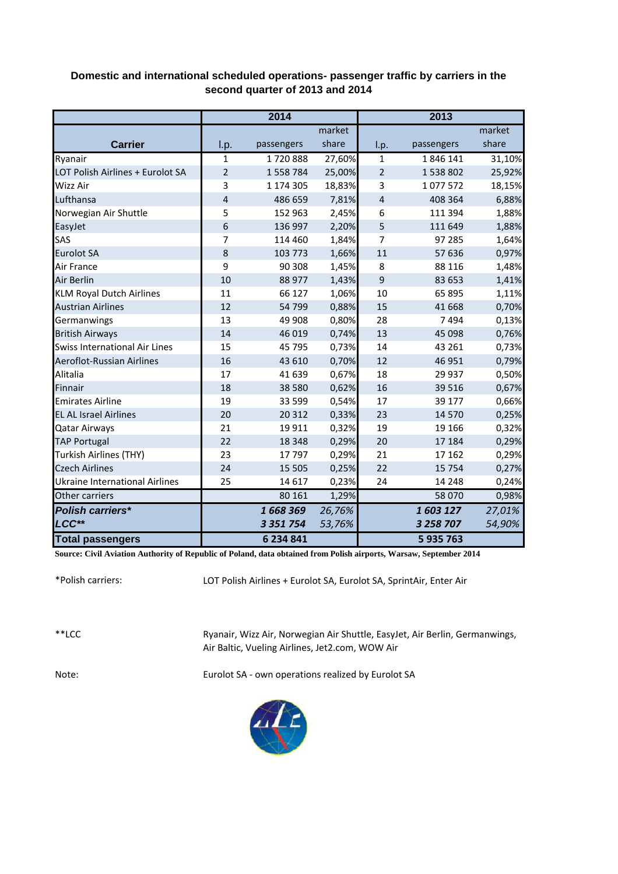## **Domestic and international scheduled operations- passenger traffic by carriers in the second quarter of 2013 and 2014**

|                                       |                | 2014          |        |                | 2013       |        |
|---------------------------------------|----------------|---------------|--------|----------------|------------|--------|
|                                       |                |               | market |                |            | market |
| <b>Carrier</b>                        | I.p.           | passengers    | share  | I.p.           | passengers | share  |
| Ryanair                               | $\mathbf{1}$   | 1720888       | 27,60% | $\mathbf{1}$   | 1846141    | 31,10% |
| LOT Polish Airlines + Eurolot SA      | $\overline{2}$ | 1 558 784     | 25,00% | $\overline{2}$ | 1538802    | 25,92% |
| Wizz Air                              | 3              | 1 174 305     | 18,83% | 3              | 1077572    | 18,15% |
| Lufthansa                             | 4              | 486 659       | 7,81%  | 4              | 408 364    | 6,88%  |
| Norwegian Air Shuttle                 | 5              | 152 963       | 2,45%  | 6              | 111 394    | 1,88%  |
| EasyJet                               | 6              | 136 997       | 2,20%  | 5              | 111 649    | 1,88%  |
| SAS                                   | 7              | 114 460       | 1,84%  | 7              | 97 285     | 1,64%  |
| <b>Eurolot SA</b>                     | 8              | 103 773       | 1,66%  | 11             | 57 636     | 0,97%  |
| Air France                            | 9              | 90 308        | 1,45%  | 8              | 88 116     | 1,48%  |
| Air Berlin                            | 10             | 88 977        | 1,43%  | 9              | 83 653     | 1,41%  |
| <b>KLM Royal Dutch Airlines</b>       | 11             | 66 127        | 1,06%  | 10             | 65 895     | 1,11%  |
| <b>Austrian Airlines</b>              | 12             | 54 799        | 0,88%  | 15             | 41 668     | 0,70%  |
| Germanwings                           | 13             | 49 908        | 0,80%  | 28             | 7494       | 0,13%  |
| <b>British Airways</b>                | 14             | 46 019        | 0,74%  | 13             | 45 098     | 0,76%  |
| <b>Swiss International Air Lines</b>  | 15             | 45 795        | 0,73%  | 14             | 43 261     | 0,73%  |
| <b>Aeroflot-Russian Airlines</b>      | 16             | 43 610        | 0,70%  | 12             | 46 951     | 0,79%  |
| Alitalia                              | 17             | 41 639        | 0,67%  | 18             | 29 937     | 0,50%  |
| Finnair                               | 18             | 38 5 80       | 0,62%  | 16             | 39 516     | 0,67%  |
| <b>Emirates Airline</b>               | 19             | 33 599        | 0,54%  | 17             | 39 177     | 0,66%  |
| <b>EL AL Israel Airlines</b>          | 20             | 20 312        | 0,33%  | 23             | 14 570     | 0,25%  |
| <b>Qatar Airways</b>                  | 21             | 19911         | 0,32%  | 19             | 19 16 6    | 0,32%  |
| <b>TAP Portugal</b>                   | 22             | 18 3 48       | 0,29%  | 20             | 17 184     | 0,29%  |
| Turkish Airlines (THY)                | 23             | 17797         | 0,29%  | 21             | 17 162     | 0,29%  |
| <b>Czech Airlines</b>                 | 24             | 15 5 05       | 0,25%  | 22             | 15 7 54    | 0,27%  |
| <b>Ukraine International Airlines</b> | 25             | 14 6 17       | 0,23%  | 24             | 14 248     | 0,24%  |
| Other carriers                        |                | 80 161        | 1,29%  |                | 58 070     | 0,98%  |
| <b>Polish carriers*</b>               |                | 1668369       | 26,76% |                | 1603127    | 27,01% |
| LCC**                                 |                | 3 3 5 1 7 5 4 | 53,76% |                | 3 258 707  | 54,90% |
| <b>Total passengers</b>               |                | 6 234 841     |        |                | 5935763    |        |

**Source: Civil Aviation Authority of Republic of Poland, data obtained from Polish airports, Warsaw, September 2014**

\*Polish carriers:

LOT Polish Airlines + Eurolot SA, Eurolot SA, SprintAir, Enter Air

\*\*LCC

Ryanair, Wizz Air, Norwegian Air Shuttle, EasyJet, Air Berlin, Germanwings, Air Baltic, Vueling Airlines, Jet2.com, WOW Air

Note: Eurolot SA - own operations realized by Eurolot SA